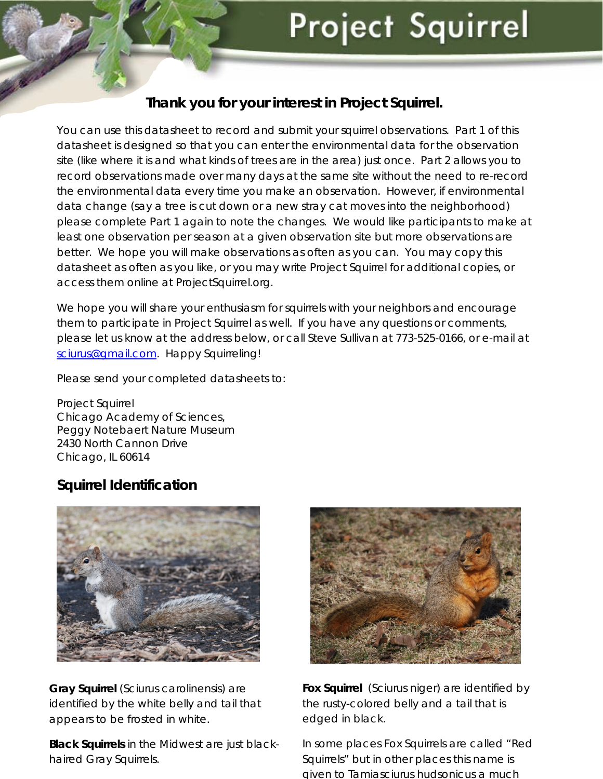# **Project Squirrel**

#### **Thank you for your interest in Project Squirrel.**

You can use this datasheet to record and submit your squirrel observations. Part 1 of this datasheet is designed so that you can enter the environmental data for the observation site (like where it is and what kinds of trees are in the area) just once. Part 2 allows you to record observations made over many days at the same site without the need to re-record the environmental data every time you make an observation. However, if environmental data change (say a tree is cut down or a new stray cat moves into the neighborhood) please complete Part 1 again to note the changes. We would like participants to make at least one observation per season at a given observation site but more observations are better. We hope you will make observations as often as you can. You may copy this datasheet as often as you like, or you may write Project Squirrel for additional copies, or access them online at ProjectSquirrel.org.

We hope you will share your enthusiasm for squirrels with your neighbors and encourage them to participate in Project Squirrel as well. If you have any questions or comments, please let us know at the address below, or call Steve Sullivan at 773-525-0166, or e-mail at [sciurus@gmail.com](mailto:sciurus@gmail.com). Happy Squirreling!

Please send your completed datasheets to:

Project Squirrel Chicago Academy of Sciences, Peggy Notebaert Nature Museum 2430 North Cannon Drive Chicago, IL 60614

#### **Squirrel Identification**



**Gray Squirrel** *(Sciurus carolinensis)* are identified by the white belly and tail that appears to be frosted in white.

**Black Squirrels** in the Midwest are just blackhaired Gray Squirrels.



**Fox Squirrel** *(Sciurus niger)* are identified by the rusty-colored belly and a tail that is edged in black.

In some places Fox Squirrels are called "Red Squirrels" but in other places this name is given to *Tamiasciurus hudsonicus* a much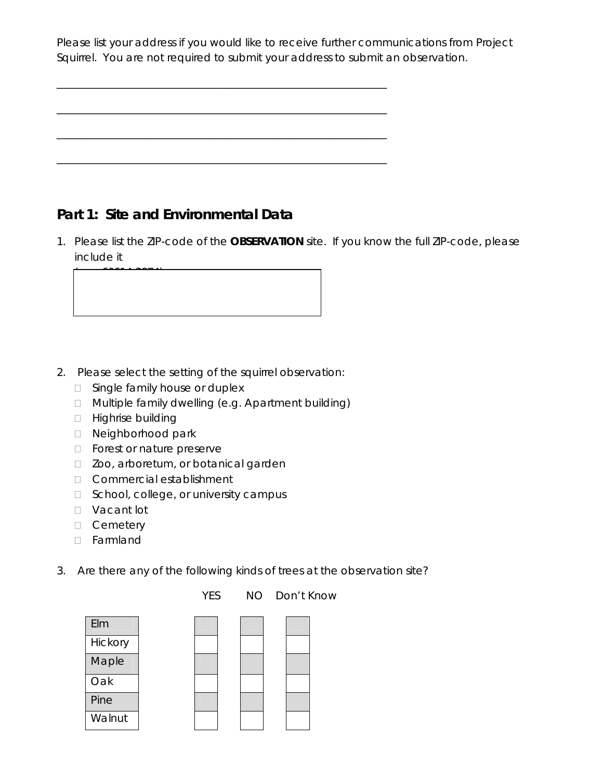Please list your address if you would like to receive further communications from Project Squirrel. You are not required to submit your address to submit an observation.

\_\_\_\_\_\_\_\_\_\_\_\_\_\_\_\_\_\_\_\_\_\_\_\_\_\_\_\_\_\_\_\_\_\_\_\_\_\_\_\_\_\_\_\_\_\_\_\_\_\_\_\_\_\_\_\_\_\_\_\_\_

\_\_\_\_\_\_\_\_\_\_\_\_\_\_\_\_\_\_\_\_\_\_\_\_\_\_\_\_\_\_\_\_\_\_\_\_\_\_\_\_\_\_\_\_\_\_\_\_\_\_\_\_\_\_\_\_\_\_\_\_\_

\_\_\_\_\_\_\_\_\_\_\_\_\_\_\_\_\_\_\_\_\_\_\_\_\_\_\_\_\_\_\_\_\_\_\_\_\_\_\_\_\_\_\_\_\_\_\_\_\_\_\_\_\_\_\_\_\_\_\_\_\_

\_\_\_\_\_\_\_\_\_\_\_\_\_\_\_\_\_\_\_\_\_\_\_\_\_\_\_\_\_\_\_\_\_\_\_\_\_\_\_\_\_\_\_\_\_\_\_\_\_\_\_\_\_\_\_\_\_\_\_\_\_

## **Part 1: Site and Environmental Data**

1. Please list the ZIP-code of the **OBSERVATION** site. If you know the full ZIP-code, please include it

- 2. Please select the setting of the squirrel observation:
	- □ Single family house or duplex
	- Multiple family dwelling (e.g. Apartment building)
	- □ Highrise building

 $\overline{\phantom{a}}$ 

- D Neighborhood park
- **D** Forest or nature preserve
- □ Zoo, arboretum, or botanical garden
- Commercial establishment
- □ School, college, or university campus
- D Vacant lot
- D Cemetery
- Farmland
- 3. Are there any of the following kinds of trees at the observation site?

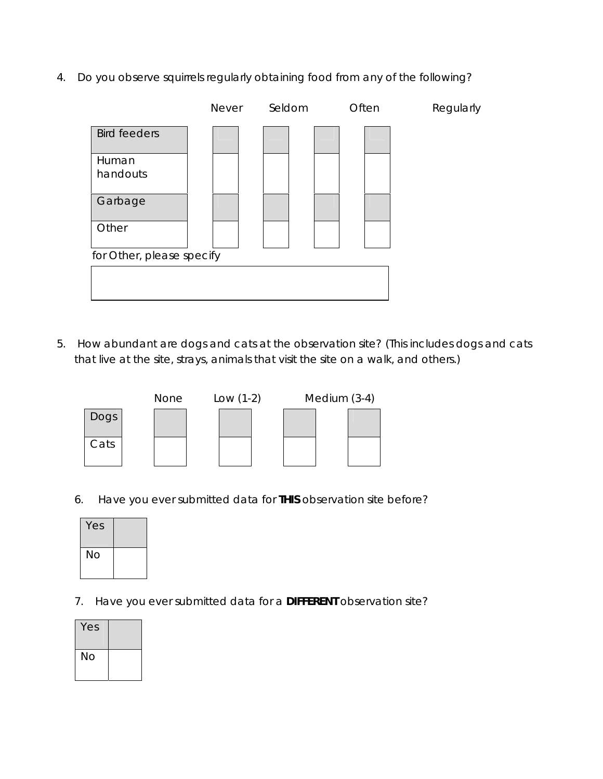4. Do you observe squirrels regularly obtaining food from any of the following?

|                           | <b>Never</b> | Seldom | Often | Regularly |
|---------------------------|--------------|--------|-------|-----------|
| <b>Bird feeders</b>       |              |        |       |           |
| Human<br>handouts         |              |        |       |           |
| Garbage                   |              |        |       |           |
| Other                     |              |        |       |           |
| for Other, please specify |              |        |       |           |
|                           |              |        |       |           |
|                           |              |        |       |           |

5. How abundant are dogs and cats at the observation site? (This includes dogs and cats that live at the site, strays, animals that visit the site on a walk, and others.)



6. Have you ever submitted data for **THIS** observation site before?

| Yes |  |
|-----|--|
| No  |  |

7. Have you ever submitted data for a **DIFFERENT** observation site?

| Yes |  |
|-----|--|
| No  |  |